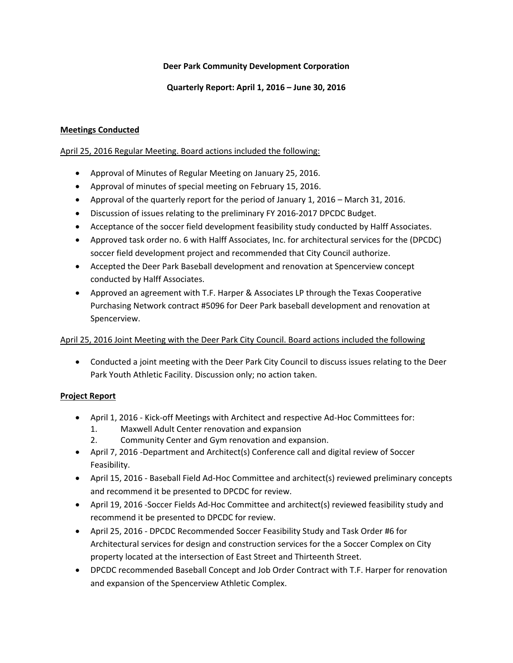## **Deer Park Community Development Corporation**

## **Quarterly Report: April 1, 2016 – June 30, 2016**

# **Meetings Conducted**

## April 25, 2016 Regular Meeting. Board actions included the following:

- Approval of Minutes of Regular Meeting on January 25, 2016.
- Approval of minutes of special meeting on February 15, 2016.
- Approval of the quarterly report for the period of January 1, 2016 March 31, 2016.
- Discussion of issues relating to the preliminary FY 2016-2017 DPCDC Budget.
- Acceptance of the soccer field development feasibility study conducted by Halff Associates.
- Approved task order no. 6 with Halff Associates, Inc. for architectural services for the (DPCDC) soccer field development project and recommended that City Council authorize.
- Accepted the Deer Park Baseball development and renovation at Spencerview concept conducted by Halff Associates.
- Approved an agreement with T.F. Harper & Associates LP through the Texas Cooperative Purchasing Network contract #5096 for Deer Park baseball development and renovation at Spencerview.

# April 25, 2016 Joint Meeting with the Deer Park City Council. Board actions included the following

 Conducted a joint meeting with the Deer Park City Council to discuss issues relating to the Deer Park Youth Athletic Facility. Discussion only; no action taken.

# **Project Report**

- April 1, 2016 Kick-off Meetings with Architect and respective Ad-Hoc Committees for:
	- 1. Maxwell Adult Center renovation and expansion
	- 2. Community Center and Gym renovation and expansion.
- April 7, 2016 ‐Department and Architect(s) Conference call and digital review of Soccer Feasibility.
- April 15, 2016 Baseball Field Ad-Hoc Committee and architect(s) reviewed preliminary concepts and recommend it be presented to DPCDC for review.
- April 19, 2016 -Soccer Fields Ad-Hoc Committee and architect(s) reviewed feasibility study and recommend it be presented to DPCDC for review.
- April 25, 2016 ‐ DPCDC Recommended Soccer Feasibility Study and Task Order #6 for Architectural services for design and construction services for the a Soccer Complex on City property located at the intersection of East Street and Thirteenth Street.
- DPCDC recommended Baseball Concept and Job Order Contract with T.F. Harper for renovation and expansion of the Spencerview Athletic Complex.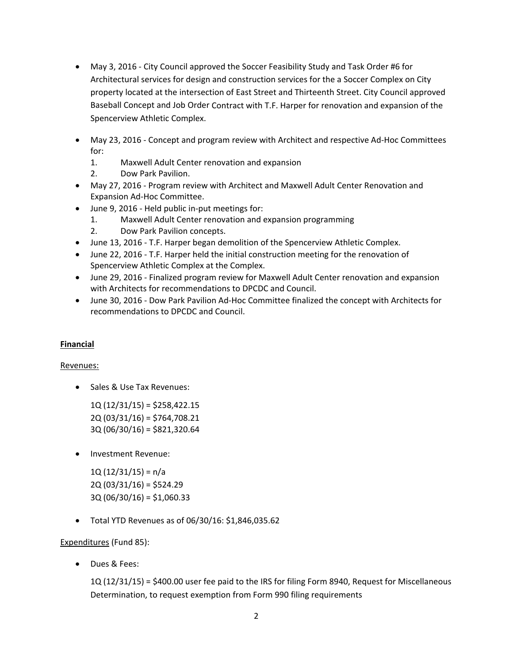- May 3, 2016 City Council approved the Soccer Feasibility Study and Task Order #6 for Architectural services for design and construction services for the a Soccer Complex on City property located at the intersection of East Street and Thirteenth Street. City Council approved Baseball Concept and Job Order Contract with T.F. Harper for renovation and expansion of the Spencerview Athletic Complex.
- May 23, 2016 Concept and program review with Architect and respective Ad-Hoc Committees for:
	- 1. Maxwell Adult Center renovation and expansion
	- 2. Dow Park Pavilion.
- May 27, 2016 ‐ Program review with Architect and Maxwell Adult Center Renovation and Expansion Ad‐Hoc Committee.
- June 9, 2016 Held public in-put meetings for:
	- 1. Maxwell Adult Center renovation and expansion programming
	- 2. Dow Park Pavilion concepts.
- June 13, 2016 T.F. Harper began demolition of the Spencerview Athletic Complex.
- June 22, 2016 T.F. Harper held the initial construction meeting for the renovation of Spencerview Athletic Complex at the Complex.
- June 29, 2016 Finalized program review for Maxwell Adult Center renovation and expansion with Architects for recommendations to DPCDC and Council.
- June 30, 2016 Dow Park Pavilion Ad-Hoc Committee finalized the concept with Architects for recommendations to DPCDC and Council.

# **Financial**

# Revenues:

• Sales & Use Tax Revenues:

 1Q (12/31/15) = \$258,422.15 2Q (03/31/16) = \$764,708.21 3Q (06/30/16) = \$821,320.64

• Investment Revenue:

 $1Q(12/31/15) = n/a$  $2Q (03/31/16) = $524.29$  $3Q(06/30/16) = $1,060.33$ 

Total YTD Revenues as of 06/30/16: \$1,846,035.62

# Expenditures (Fund 85):

Dues & Fees:

1Q (12/31/15) = \$400.00 user fee paid to the IRS for filing Form 8940, Request for Miscellaneous Determination, to request exemption from Form 990 filing requirements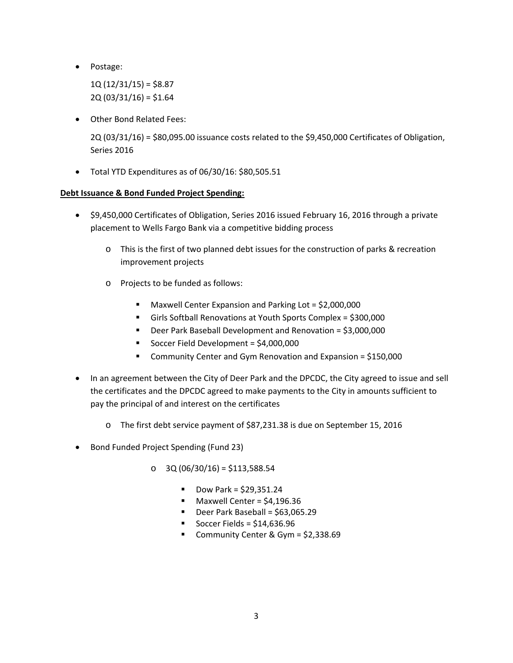Postage:

 $1Q(12/31/15) = $8.87$  $2Q(03/31/16) = $1.64$ 

Other Bond Related Fees:

2Q (03/31/16) = \$80,095.00 issuance costs related to the \$9,450,000 Certificates of Obligation, Series 2016

Total YTD Expenditures as of 06/30/16: \$80,505.51

# **Debt Issuance & Bond Funded Project Spending:**

- \$9,450,000 Certificates of Obligation, Series 2016 issued February 16, 2016 through a private placement to Wells Fargo Bank via a competitive bidding process
	- o This is the first of two planned debt issues for the construction of parks & recreation improvement projects
	- o Projects to be funded as follows:
		- Maxwell Center Expansion and Parking Lot = \$2,000,000
		- Girls Softball Renovations at Youth Sports Complex = \$300,000
		- Deer Park Baseball Development and Renovation = \$3,000,000
		- Soccer Field Development = \$4,000,000
		- Community Center and Gym Renovation and Expansion = \$150,000
- In an agreement between the City of Deer Park and the DPCDC, the City agreed to issue and sell the certificates and the DPCDC agreed to make payments to the City in amounts sufficient to pay the principal of and interest on the certificates
	- o The first debt service payment of \$87,231.38 is due on September 15, 2016
- Bond Funded Project Spending (Fund 23)
	- o 3Q (06/30/16) = \$113,588.54
		- $\blacksquare$  Dow Park = \$29,351.24
		- $\blacksquare$  Maxwell Center = \$4,196.36
		- $\blacksquare$  Deer Park Baseball = \$63,065.29
		- Soccer Fields = \$14,636.96
		- Community Center & Gym = \$2,338.69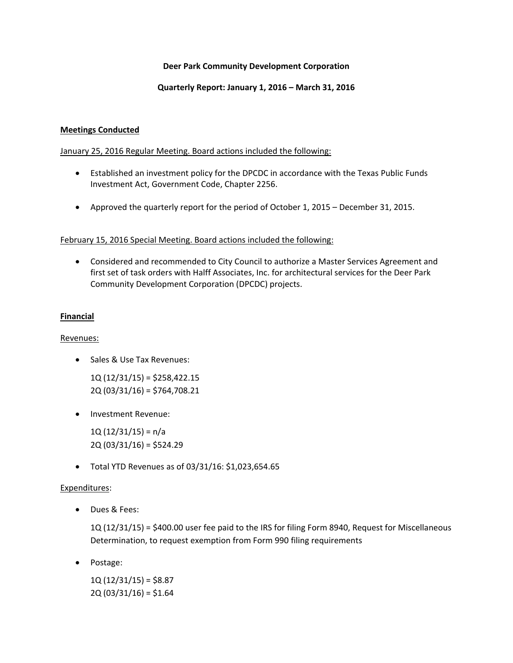## **Deer Park Community Development Corporation**

## **Quarterly Report: January 1, 2016 – March 31, 2016**

## **Meetings Conducted**

## January 25, 2016 Regular Meeting. Board actions included the following:

- Established an investment policy for the DPCDC in accordance with the Texas Public Funds Investment Act, Government Code, Chapter 2256.
- Approved the quarterly report for the period of October 1, 2015 December 31, 2015.

## February 15, 2016 Special Meeting. Board actions included the following:

 Considered and recommended to City Council to authorize a Master Services Agreement and first set of task orders with Halff Associates, Inc. for architectural services for the Deer Park Community Development Corporation (DPCDC) projects.

## **Financial**

## Revenues:

- Sales & Use Tax Revenues:
	- 1Q (12/31/15) = \$258,422.15 2Q (03/31/16) = \$764,708.21
- Investment Revenue:

1Q $(12/31/15)$  = n/a  $2Q (03/31/16) = $524.29$ 

Total YTD Revenues as of 03/31/16: \$1,023,654.65

# Expenditures:

Dues & Fees:

1Q (12/31/15) = \$400.00 user fee paid to the IRS for filing Form 8940, Request for Miscellaneous Determination, to request exemption from Form 990 filing requirements

Postage:

 $1Q(12/31/15) = $8.87$ 2Q (03/31/16) = \$1.64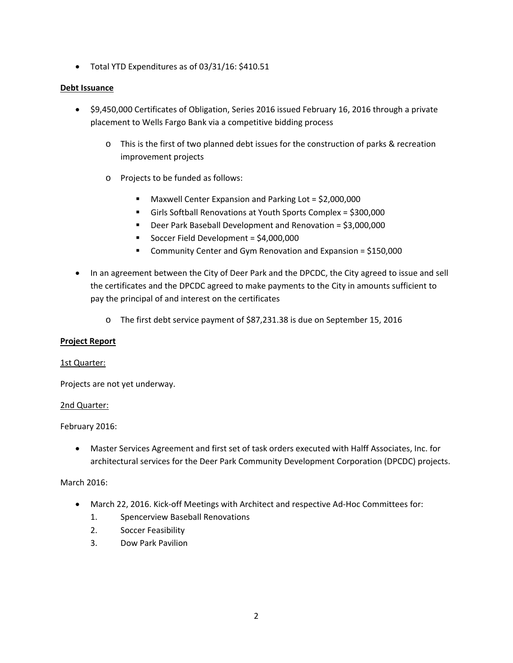Total YTD Expenditures as of 03/31/16: \$410.51

## **Debt Issuance**

- \$9,450,000 Certificates of Obligation, Series 2016 issued February 16, 2016 through a private placement to Wells Fargo Bank via a competitive bidding process
	- o This is the first of two planned debt issues for the construction of parks & recreation improvement projects
	- o Projects to be funded as follows:
		- Maxwell Center Expansion and Parking Lot = \$2,000,000
		- Girls Softball Renovations at Youth Sports Complex = \$300,000
		- Deer Park Baseball Development and Renovation = \$3,000,000
		- Soccer Field Development = \$4,000,000
		- Community Center and Gym Renovation and Expansion = \$150,000
- In an agreement between the City of Deer Park and the DPCDC, the City agreed to issue and sell the certificates and the DPCDC agreed to make payments to the City in amounts sufficient to pay the principal of and interest on the certificates
	- o The first debt service payment of \$87,231.38 is due on September 15, 2016

## **Project Report**

#### 1st Quarter:

Projects are not yet underway.

## 2nd Quarter:

February 2016:

 Master Services Agreement and first set of task orders executed with Halff Associates, Inc. for architectural services for the Deer Park Community Development Corporation (DPCDC) projects.

## March 2016:

- March 22, 2016. Kick-off Meetings with Architect and respective Ad-Hoc Committees for:
	- 1. Spencerview Baseball Renovations
	- 2. Soccer Feasibility
	- 3. Dow Park Pavilion